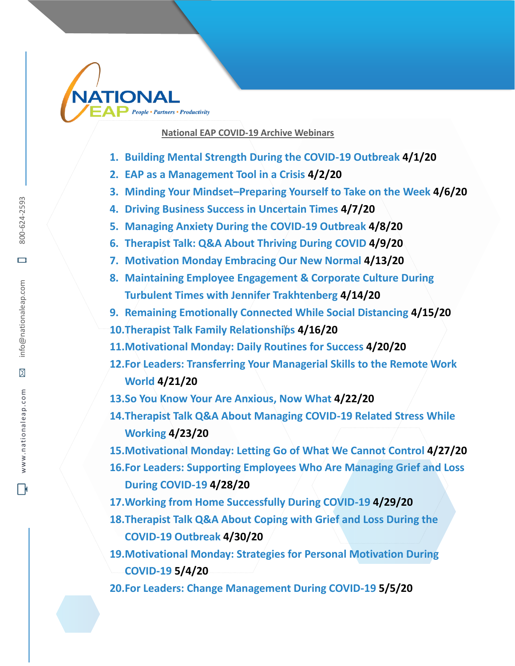

## **National EAP COVID-19 Archive Webinars**

- **1. Building Mental Strength During the COVID-19 Outbreak 4/1/20**
- **2. EAP as a Management Tool in a Crisis 4/2/20**
- **3. Minding Your Mindset–Preparing Yourself to Take on the Week 4/6/20**
- **4. Driving Business Success in Uncertain Times 4/7/20**
- **5. Managing Anxiety During the COVID-19 Outbreak 4/8/20**
- **6. Therapist Talk: Q&A About Thriving During COVID 4/9/20**
- **7. Motivation Monday Embracing Our New Normal 4/13/20**
- **8. Maintaining Employee Engagement & Corporate Culture During Turbulent Times with Jennifer Trakhtenberg 4/14/20**
- **9. Remaining Emotionally Connected While Social Distancing 4/15/20**
- 10. Therapist Talk Family Relationships 4/16/20
- **11.Motivational Monday: Daily Routines for Success 4/20/20**
- **12.For Leaders: Transferring Your Managerial Skills to the Remote Work World 4/21/20**
- **13.So You Know Your Are Anxious, Now What 4/22/20**
- **14.Therapist Talk Q&A About Managing COVID-19 Related Stress While Working 4/23/20**
- **15.Motivational Monday: Letting Go of What We Cannot Control 4/27/20**
- **16.For Leaders: Supporting Employees Who Are Managing Grief and Loss During COVID-19 4/28/20**
- **17.Working from Home Successfully During COVID-19 4/29/20**
- **18.Therapist Talk Q&A About Coping with Grief and Loss During the COVID-19 Outbreak 4/30/20**

**19.Motivational Monday: Strategies for Personal Motivation During COVID-19 5/4/20**

**20.For Leaders: Change Management During COVID-19 5/5/20**

 $\Box$